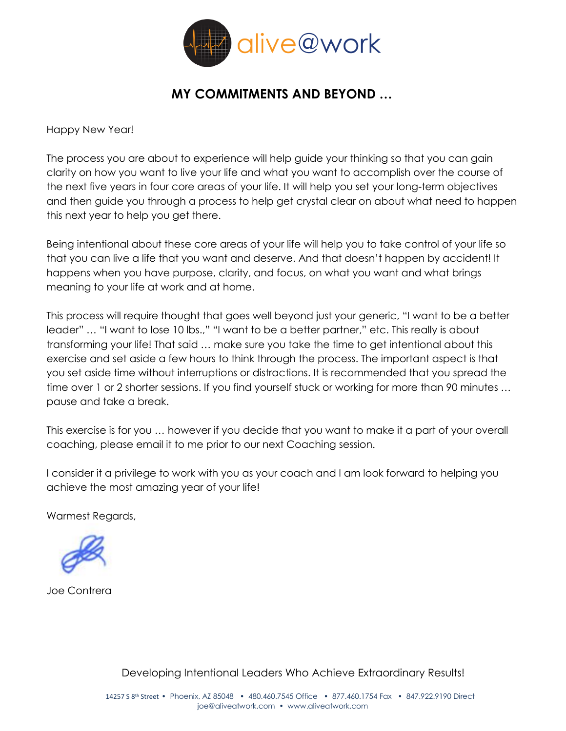

### **MY COMMITMENTS AND BEYOND …**

Happy New Year!

The process you are about to experience will help guide your thinking so that you can gain clarity on how you want to live your life and what you want to accomplish over the course of the next five years in four core areas of your life. It will help you set your long-term objectives and then guide you through a process to help get crystal clear on about what need to happen this next year to help you get there.

Being intentional about these core areas of your life will help you to take control of your life so that you can live a life that you want and deserve. And that doesn't happen by accident! It happens when you have purpose, clarity, and focus, on what you want and what brings meaning to your life at work and at home.

This process will require thought that goes well beyond just your generic, "I want to be a better leader" … "I want to lose 10 lbs.," "I want to be a better partner," etc. This really is about transforming your life! That said … make sure you take the time to get intentional about this exercise and set aside a few hours to think through the process. The important aspect is that you set aside time without interruptions or distractions. It is recommended that you spread the time over 1 or 2 shorter sessions. If you find yourself stuck or working for more than 90 minutes ... pause and take a break.

This exercise is for you … however if you decide that you want to make it a part of your overall coaching, please email it to me prior to our next Coaching session.

I consider it a privilege to work with you as your coach and I am look forward to helping you achieve the most amazing year of your life!

Warmest Regards,



Joe Contrera

Developing Intentional Leaders Who Achieve Extraordinary Results!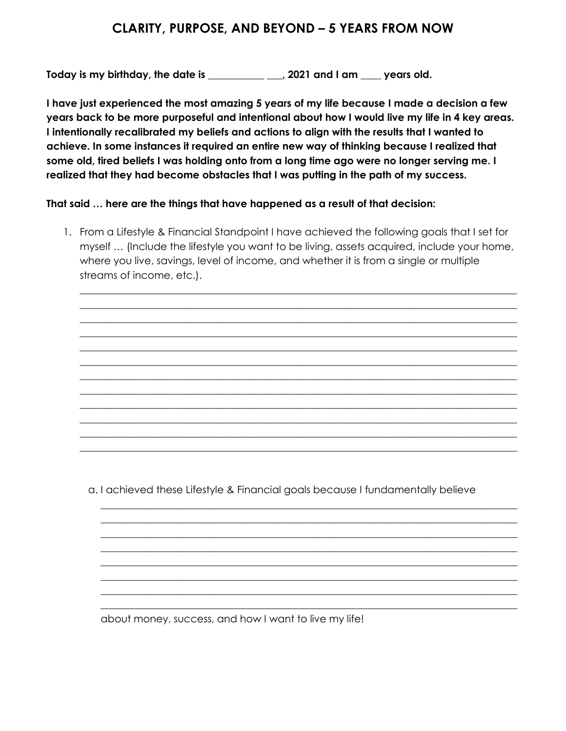#### **CLARITY, PURPOSE, AND BEYOND – 5 YEARS FROM NOW**

**Today is my birthday, the date is \_\_\_\_\_\_\_\_\_\_\_ \_\_\_, 2021 and I am \_\_\_\_ years old.**

**I have just experienced the most amazing 5 years of my life because I made a decision a few years back to be more purposeful and intentional about how I would live my life in 4 key areas. I intentionally recalibrated my beliefs and actions to align with the results that I wanted to achieve. In some instances it required an entire new way of thinking because I realized that some old, tired beliefs I was holding onto from a long time ago were no longer serving me. I realized that they had become obstacles that I was putting in the path of my success.** 

**That said … here are the things that have happened as a result of that decision:**

1. From a Lifestyle & Financial Standpoint I have achieved the following goals that I set for myself … (Include the lifestyle you want to be living, assets acquired, include your home, where you live, savings, level of income, and whether it is from a single or multiple streams of income, etc.).

 $\_$  , and the set of the set of the set of the set of the set of the set of the set of the set of the set of the set of the set of the set of the set of the set of the set of the set of the set of the set of the set of th \_\_\_\_\_\_\_\_\_\_\_\_\_\_\_\_\_\_\_\_\_\_\_\_\_\_\_\_\_\_\_\_\_\_\_\_\_\_\_\_\_\_\_\_\_\_\_\_\_\_\_\_\_\_\_\_\_\_\_\_\_\_\_\_\_\_\_\_\_\_\_\_\_\_\_\_\_\_\_\_\_\_\_\_\_\_  $\_$  , and the set of the set of the set of the set of the set of the set of the set of the set of the set of the set of the set of the set of the set of the set of the set of the set of the set of the set of the set of th \_\_\_\_\_\_\_\_\_\_\_\_\_\_\_\_\_\_\_\_\_\_\_\_\_\_\_\_\_\_\_\_\_\_\_\_\_\_\_\_\_\_\_\_\_\_\_\_\_\_\_\_\_\_\_\_\_\_\_\_\_\_\_\_\_\_\_\_\_\_\_\_\_\_\_\_\_\_\_\_\_\_\_\_\_\_  $\_$  , and the set of the set of the set of the set of the set of the set of the set of the set of the set of the set of the set of the set of the set of the set of the set of the set of the set of the set of the set of th  $\_$  , and the set of the set of the set of the set of the set of the set of the set of the set of the set of the set of the set of the set of the set of the set of the set of the set of the set of the set of the set of th  $\_$  , and the set of the set of the set of the set of the set of the set of the set of the set of the set of the set of the set of the set of the set of the set of the set of the set of the set of the set of the set of th \_\_\_\_\_\_\_\_\_\_\_\_\_\_\_\_\_\_\_\_\_\_\_\_\_\_\_\_\_\_\_\_\_\_\_\_\_\_\_\_\_\_\_\_\_\_\_\_\_\_\_\_\_\_\_\_\_\_\_\_\_\_\_\_\_\_\_\_\_\_\_\_\_\_\_\_\_\_\_\_\_\_\_\_\_\_  $\_$  , and the set of the set of the set of the set of the set of the set of the set of the set of the set of the set of the set of the set of the set of the set of the set of the set of the set of the set of the set of th \_\_\_\_\_\_\_\_\_\_\_\_\_\_\_\_\_\_\_\_\_\_\_\_\_\_\_\_\_\_\_\_\_\_\_\_\_\_\_\_\_\_\_\_\_\_\_\_\_\_\_\_\_\_\_\_\_\_\_\_\_\_\_\_\_\_\_\_\_\_\_\_\_\_\_\_\_\_\_\_\_\_\_\_\_\_ \_\_\_\_\_\_\_\_\_\_\_\_\_\_\_\_\_\_\_\_\_\_\_\_\_\_\_\_\_\_\_\_\_\_\_\_\_\_\_\_\_\_\_\_\_\_\_\_\_\_\_\_\_\_\_\_\_\_\_\_\_\_\_\_\_\_\_\_\_\_\_\_\_\_\_\_\_\_\_\_\_\_\_\_\_\_  $\_$  , and the set of the set of the set of the set of the set of the set of the set of the set of the set of the set of the set of the set of the set of the set of the set of the set of the set of the set of the set of th

a. I achieved these Lifestyle & Financial goals because I fundamentally believe

\_\_\_\_\_\_\_\_\_\_\_\_\_\_\_\_\_\_\_\_\_\_\_\_\_\_\_\_\_\_\_\_\_\_\_\_\_\_\_\_\_\_\_\_\_\_\_\_\_\_\_\_\_\_\_\_\_\_\_\_\_\_\_\_\_\_\_\_\_\_\_\_\_\_\_\_\_\_\_\_\_\_ \_\_\_\_\_\_\_\_\_\_\_\_\_\_\_\_\_\_\_\_\_\_\_\_\_\_\_\_\_\_\_\_\_\_\_\_\_\_\_\_\_\_\_\_\_\_\_\_\_\_\_\_\_\_\_\_\_\_\_\_\_\_\_\_\_\_\_\_\_\_\_\_\_\_\_\_\_\_\_\_\_\_ \_\_\_\_\_\_\_\_\_\_\_\_\_\_\_\_\_\_\_\_\_\_\_\_\_\_\_\_\_\_\_\_\_\_\_\_\_\_\_\_\_\_\_\_\_\_\_\_\_\_\_\_\_\_\_\_\_\_\_\_\_\_\_\_\_\_\_\_\_\_\_\_\_\_\_\_\_\_\_\_\_\_ \_\_\_\_\_\_\_\_\_\_\_\_\_\_\_\_\_\_\_\_\_\_\_\_\_\_\_\_\_\_\_\_\_\_\_\_\_\_\_\_\_\_\_\_\_\_\_\_\_\_\_\_\_\_\_\_\_\_\_\_\_\_\_\_\_\_\_\_\_\_\_\_\_\_\_\_\_\_\_\_\_\_ \_\_\_\_\_\_\_\_\_\_\_\_\_\_\_\_\_\_\_\_\_\_\_\_\_\_\_\_\_\_\_\_\_\_\_\_\_\_\_\_\_\_\_\_\_\_\_\_\_\_\_\_\_\_\_\_\_\_\_\_\_\_\_\_\_\_\_\_\_\_\_\_\_\_\_\_\_\_\_\_\_\_ \_\_\_\_\_\_\_\_\_\_\_\_\_\_\_\_\_\_\_\_\_\_\_\_\_\_\_\_\_\_\_\_\_\_\_\_\_\_\_\_\_\_\_\_\_\_\_\_\_\_\_\_\_\_\_\_\_\_\_\_\_\_\_\_\_\_\_\_\_\_\_\_\_\_\_\_\_\_\_\_\_\_ \_\_\_\_\_\_\_\_\_\_\_\_\_\_\_\_\_\_\_\_\_\_\_\_\_\_\_\_\_\_\_\_\_\_\_\_\_\_\_\_\_\_\_\_\_\_\_\_\_\_\_\_\_\_\_\_\_\_\_\_\_\_\_\_\_\_\_\_\_\_\_\_\_\_\_\_\_\_\_\_\_\_ \_\_\_\_\_\_\_\_\_\_\_\_\_\_\_\_\_\_\_\_\_\_\_\_\_\_\_\_\_\_\_\_\_\_\_\_\_\_\_\_\_\_\_\_\_\_\_\_\_\_\_\_\_\_\_\_\_\_\_\_\_\_\_\_\_\_\_\_\_\_\_\_\_\_\_\_\_\_\_\_\_\_

about money, success, and how I want to live my life!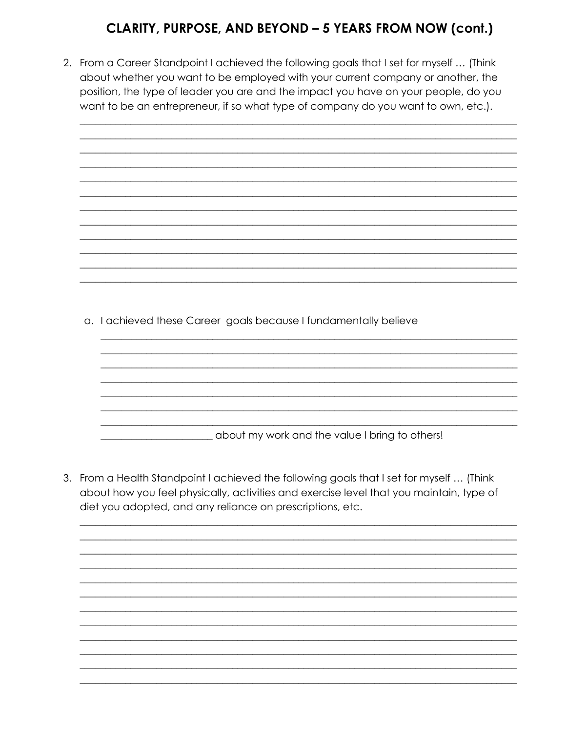# CLARITY, PURPOSE, AND BEYOND - 5 YEARS FROM NOW (cont.)

2. From a Career Standpoint I achieved the following goals that I set for myself ... (Think about whether you want to be employed with your current company or another, the position, the type of leader you are and the impact you have on your people, do you want to be an entrepreneur, if so what type of company do you want to own, etc.).



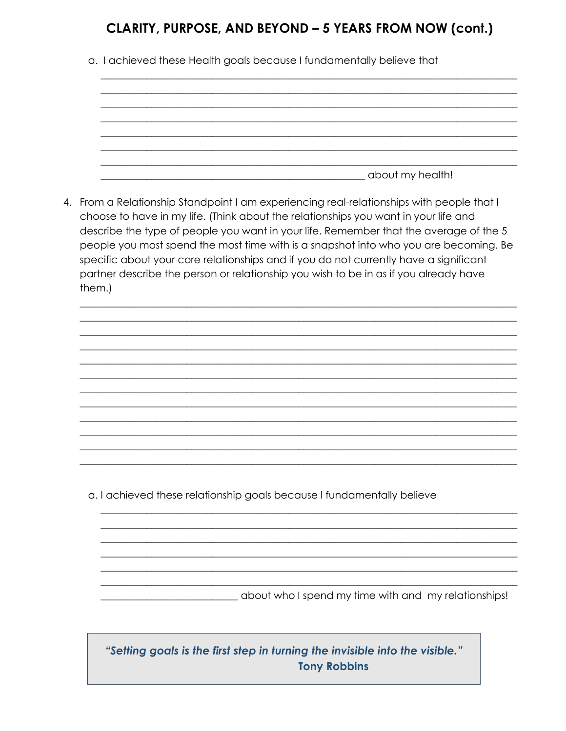## CLARITY, PURPOSE, AND BEYOND - 5 YEARS FROM NOW (cont.)

a. I achieved these Health goals because I fundamentally believe that

4. From a Relationship Standpoint I am experiencing real-relationships with people that I choose to have in my life. (Think about the relationships you want in your life and describe the type of people you want in your life. Remember that the average of the 5 people you most spend the most time with is a snapshot into who you are becoming. Be specific about your core relationships and if you do not currently have a significant partner describe the person or relationship you wish to be in as if you already have them.)

a. I achieved these relationship goals because I fundamentally believe

about who I spend my time with and my relationships!

"Setting goals is the first step in turning the invisible into the visible." **Tony Robbins**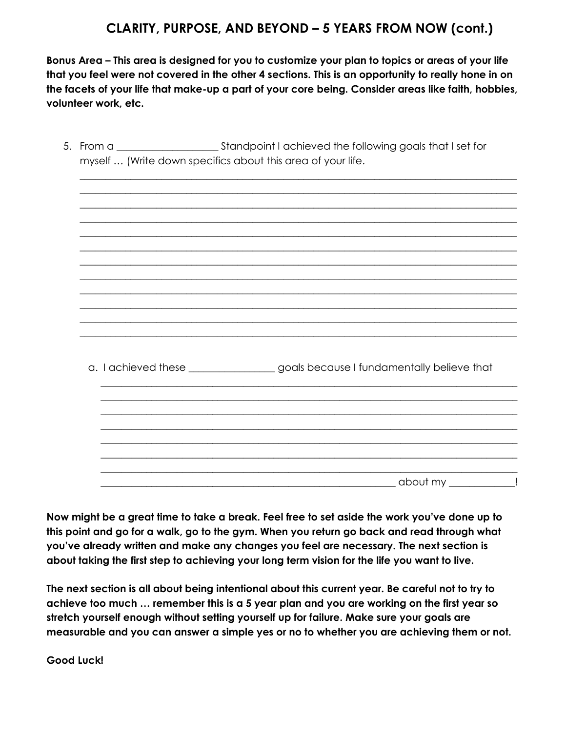### **CLARITY, PURPOSE, AND BEYOND – 5 YEARS FROM NOW (cont.)**

**Bonus Area – This area is designed for you to customize your plan to topics or areas of your life that you feel were not covered in the other 4 sections. This is an opportunity to really hone in on the facets of your life that make-up a part of your core being. Consider areas like faith, hobbies, volunteer work, etc.**

| myself  (Write down specifics about this area of your life. |                                                                                 |  |
|-------------------------------------------------------------|---------------------------------------------------------------------------------|--|
|                                                             |                                                                                 |  |
|                                                             |                                                                                 |  |
|                                                             |                                                                                 |  |
|                                                             |                                                                                 |  |
|                                                             |                                                                                 |  |
|                                                             |                                                                                 |  |
|                                                             |                                                                                 |  |
|                                                             |                                                                                 |  |
|                                                             |                                                                                 |  |
|                                                             |                                                                                 |  |
|                                                             |                                                                                 |  |
|                                                             | a. I achieved these _________________goals because I fundamentally believe that |  |
|                                                             |                                                                                 |  |
|                                                             |                                                                                 |  |
|                                                             |                                                                                 |  |
|                                                             |                                                                                 |  |
|                                                             |                                                                                 |  |
|                                                             | about my_                                                                       |  |

**Now might be a great time to take a break. Feel free to set aside the work you've done up to this point and go for a walk, go to the gym. When you return go back and read through what you've already written and make any changes you feel are necessary. The next section is about taking the first step to achieving your long term vision for the life you want to live.**

**The next section is all about being intentional about this current year. Be careful not to try to achieve too much … remember this is a 5 year plan and you are working on the first year so stretch yourself enough without setting yourself up for failure. Make sure your goals are measurable and you can answer a simple yes or no to whether you are achieving them or not.**

**Good Luck!**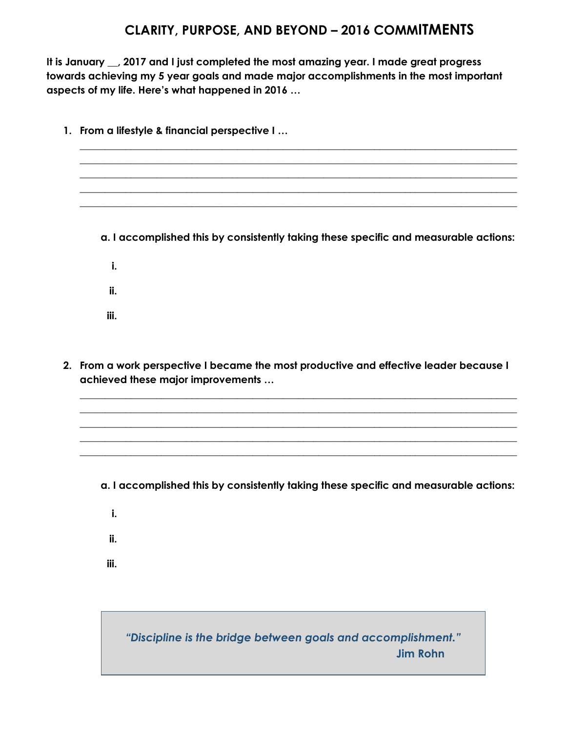### **CLARITY, PURPOSE, AND BEYOND – 2016 COMMITMENTS**

**It is January \_\_, 2017 and I just completed the most amazing year. I made great progress towards achieving my 5 year goals and made major accomplishments in the most important aspects of my life. Here's what happened in 2016 …**

- **1. From a lifestyle & financial perspective I …** \_\_\_\_\_\_\_\_\_\_\_\_\_\_\_\_\_\_\_\_\_\_\_\_\_\_\_\_\_\_\_\_\_\_\_\_\_\_\_\_\_\_\_\_\_\_\_\_\_\_\_\_\_\_\_\_\_\_\_\_\_\_\_\_\_\_\_\_\_\_\_\_\_\_\_\_\_\_\_\_\_\_\_\_\_\_  $\_$  , and the set of the set of the set of the set of the set of the set of the set of the set of the set of the set of the set of the set of the set of the set of the set of the set of the set of the set of the set of th \_\_\_\_\_\_\_\_\_\_\_\_\_\_\_\_\_\_\_\_\_\_\_\_\_\_\_\_\_\_\_\_\_\_\_\_\_\_\_\_\_\_\_\_\_\_\_\_\_\_\_\_\_\_\_\_\_\_\_\_\_\_\_\_\_\_\_\_\_\_\_\_\_\_\_\_\_\_\_\_\_\_\_\_\_\_  $\_$  , and the set of the set of the set of the set of the set of the set of the set of the set of the set of the set of the set of the set of the set of the set of the set of the set of the set of the set of the set of th  $\_$  , and the set of the set of the set of the set of the set of the set of the set of the set of the set of the set of the set of the set of the set of the set of the set of the set of the set of the set of the set of th **a. I accomplished this by consistently taking these specific and measurable actions: i. ii. iii.**
- **2. From a work perspective I became the most productive and effective leader because I achieved these major improvements …**

 $\_$  , and the set of the set of the set of the set of the set of the set of the set of the set of the set of the set of the set of the set of the set of the set of the set of the set of the set of the set of the set of th  $\_$  , and the set of the set of the set of the set of the set of the set of the set of the set of the set of the set of the set of the set of the set of the set of the set of the set of the set of the set of the set of th  $\_$  , and the set of the set of the set of the set of the set of the set of the set of the set of the set of the set of the set of the set of the set of the set of the set of the set of the set of the set of the set of th \_\_\_\_\_\_\_\_\_\_\_\_\_\_\_\_\_\_\_\_\_\_\_\_\_\_\_\_\_\_\_\_\_\_\_\_\_\_\_\_\_\_\_\_\_\_\_\_\_\_\_\_\_\_\_\_\_\_\_\_\_\_\_\_\_\_\_\_\_\_\_\_\_\_\_\_\_\_\_\_\_\_\_\_\_\_  $\_$  , and the set of the set of the set of the set of the set of the set of the set of the set of the set of the set of the set of the set of the set of the set of the set of the set of the set of the set of the set of th

- **a. I accomplished this by consistently taking these specific and measurable actions:**
	- **i.**
	- **ii.**
- **iii.**

*"Discipline is the bridge between goals and accomplishment."*  **Jim Rohn**